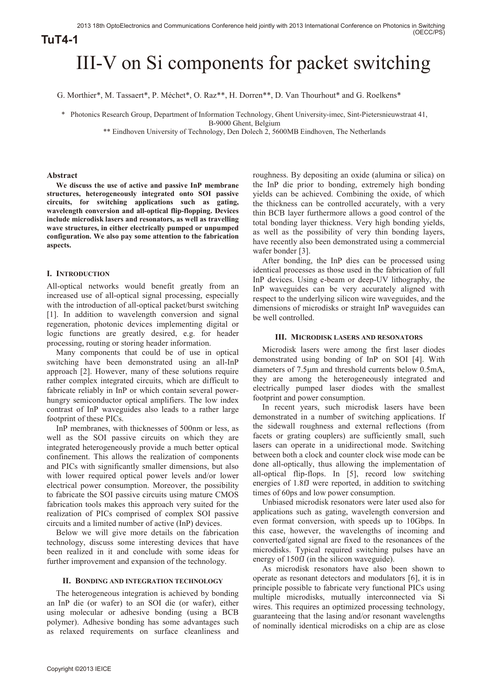# III-V on Si components for packet switching

G. Morthier\*, M. Tassaert\*, P. Méchet\*, O. Raz\*\*, H. Dorren\*\*, D. Van Thourhout\* and G. Roelkens\*

\* Photonics Research Group, Department of Information Technology, Ghent University-imec, Sint-Pietersnieuwstraat 41,

B-9000 Ghent, Belgium

\*\* Eindhoven University of Technology, Den Dolech 2, 5600MB Eindhoven, The Netherlands

# **Abstract**

**We discuss the use of active and passive InP membrane structures, heterogeneously integrated onto SOI passive circuits, for switching applications such as gating, wavelength conversion and all-optical flip-flopping. Devices include microdisk lasers and resonators, as well as travelling wave structures, in either electrically pumped or unpumped configuration. We also pay some attention to the fabrication aspects.** 

# **I. INTRODUCTION**

All-optical networks would benefit greatly from an increased use of all-optical signal processing, especially with the introduction of all-optical packet/burst switching [1]. In addition to wavelength conversion and signal regeneration, photonic devices implementing digital or logic functions are greatly desired, e.g. for header processing, routing or storing header information.

Many components that could be of use in optical switching have been demonstrated using an all-InP approach [2]. However, many of these solutions require rather complex integrated circuits, which are difficult to fabricate reliably in InP or which contain several powerhungry semiconductor optical amplifiers. The low index contrast of InP waveguides also leads to a rather large footprint of these PICs.

InP membranes, with thicknesses of 500nm or less, as well as the SOI passive circuits on which they are integrated heterogeneously provide a much better optical confinement. This allows the realization of components and PICs with significantly smaller dimensions, but also with lower required optical power levels and/or lower electrical power consumption. Moreover, the possibility to fabricate the SOI passive circuits using mature CMOS fabrication tools makes this approach very suited for the realization of PICs comprised of complex SOI passive circuits and a limited number of active (InP) devices.

Below we will give more details on the fabrication technology, discuss some interesting devices that have been realized in it and conclude with some ideas for further improvement and expansion of the technology.

# **II. BONDING AND INTEGRATION TECHNOLOGY**

The heterogeneous integration is achieved by bonding an InP die (or wafer) to an SOI die (or wafer), either using molecular or adhesive bonding (using a BCB polymer). Adhesive bonding has some advantages such as relaxed requirements on surface cleanliness and

roughness. By depositing an oxide (alumina or silica) on the InP die prior to bonding, extremely high bonding yields can be achieved. Combining the oxide, of which the thickness can be controlled accurately, with a very thin BCB layer furthermore allows a good control of the total bonding layer thickness. Very high bonding yields, as well as the possibility of very thin bonding layers, have recently also been demonstrated using a commercial wafer bonder [3].

After bonding, the InP dies can be processed using identical processes as those used in the fabrication of full InP devices. Using e-beam or deep-UV lithography, the InP waveguides can be very accurately aligned with respect to the underlying silicon wire waveguides, and the dimensions of microdisks or straight InP waveguides can be well controlled.

# **III. MICRODISK LASERS AND RESONATORS**

Microdisk lasers were among the first laser diodes demonstrated using bonding of InP on SOI [4]. With diameters of 7.5µm and threshold currents below 0.5mA, they are among the heterogeneously integrated and electrically pumped laser diodes with the smallest footprint and power consumption.

In recent years, such microdisk lasers have been demonstrated in a number of switching applications. If the sidewall roughness and external reflections (from facets or grating couplers) are sufficiently small, such lasers can operate in a unidirectional mode. Switching between both a clock and counter clock wise mode can be done all-optically, thus allowing the implementation of all-optical flip-flops. In [5], record low switching energies of 1.8fJ were reported, in addition to switching times of 60ps and low power consumption.

Unbiased microdisk resonators were later used also for applications such as gating, wavelength conversion and even format conversion, with speeds up to 10Gbps. In this case, however, the wavelengths of incoming and converted/gated signal are fixed to the resonances of the microdisks. Typical required switching pulses have an energy of 150fJ (in the silicon waveguide).

As microdisk resonators have also been shown to operate as resonant detectors and modulators [6], it is in principle possible to fabricate very functional PICs using multiple microdisks, mutually interconnected via Si wires. This requires an optimized processing technology, guaranteeing that the lasing and/or resonant wavelengths of nominally identical microdisks on a chip are as close